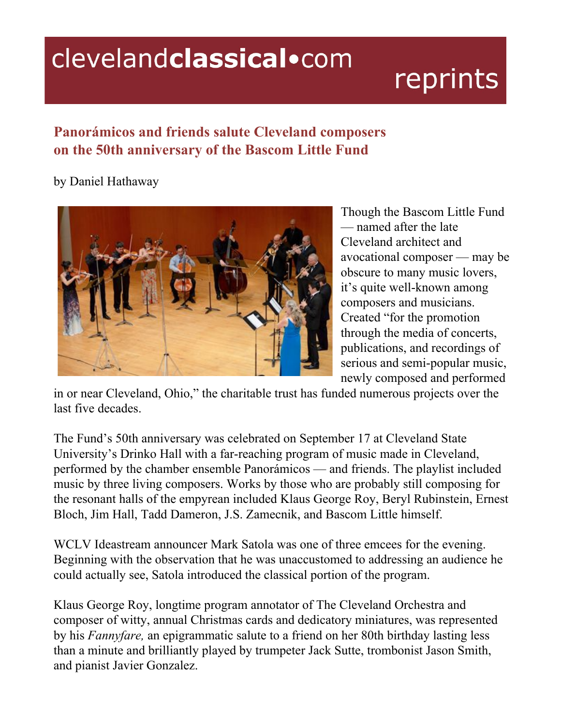## clevelandclassical.com

## reprints

## **Panorámicos and friends salute Cleveland composers on the 50th anniversary of the Bascom Little Fund**

## by Daniel Hathaway



Though the Bascom Little Fund — named after the late Cleveland architect and avocational composer — may be obscure to many music lovers, it's quite well-known among composers and musicians. Created "for the promotion through the media of concerts, publications, and recordings of serious and semi-popular music, newly composed and performed

in or near Cleveland, Ohio," the charitable trust has funded numerous projects over the last five decades.

The Fund's 50th anniversary was celebrated on September 17 at Cleveland State University's Drinko Hall with a far-reaching program of music made in Cleveland, performed by the chamber ensemble Panorámicos — and friends. The playlist included music by three living composers. Works by those who are probably still composing for the resonant halls of the empyrean included Klaus George Roy, Beryl Rubinstein, Ernest Bloch, Jim Hall, Tadd Dameron, J.S. Zamecnik, and Bascom Little himself.

WCLV Ideastream announcer Mark Satola was one of three emcees for the evening. Beginning with the observation that he was unaccustomed to addressing an audience he could actually see, Satola introduced the classical portion of the program.

Klaus George Roy, longtime program annotator of The Cleveland Orchestra and composer of witty, annual Christmas cards and dedicatory miniatures, was represented by his *Fannyfare,* an epigrammatic salute to a friend on her 80th birthday lasting less than a minute and brilliantly played by trumpeter Jack Sutte, trombonist Jason Smith, and pianist Javier Gonzalez.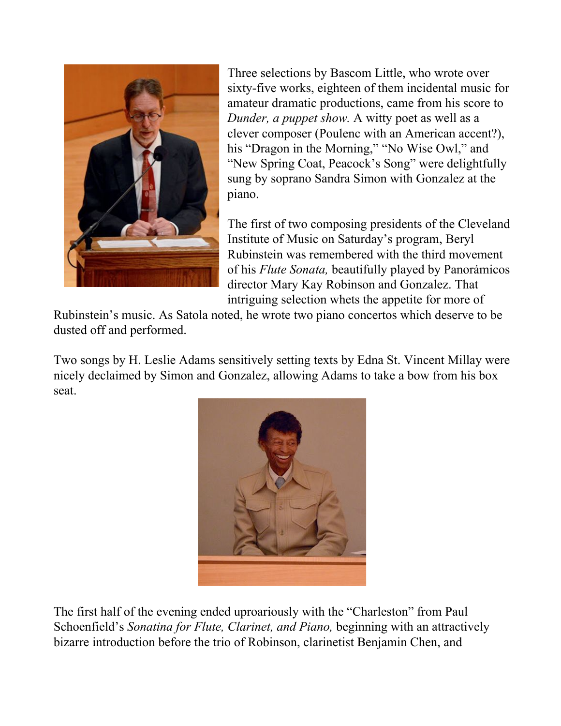

Three selections by Bascom Little, who wrote over sixty-five works, eighteen of them incidental music for amateur dramatic productions, came from his score to *Dunder, a puppet show.* A witty poet as well as a clever composer (Poulenc with an American accent?), his "Dragon in the Morning," "No Wise Owl," and "New Spring Coat, Peacock's Song" were delightfully sung by soprano Sandra Simon with Gonzalez at the piano.

The first of two composing presidents of the Cleveland Institute of Music on Saturday's program, Beryl Rubinstein was remembered with the third movement of his *Flute Sonata,* beautifully played by Panorámicos director Mary Kay Robinson and Gonzalez. That intriguing selection whets the appetite for more of

Rubinstein's music. As Satola noted, he wrote two piano concertos which deserve to be dusted off and performed.

Two songs by H. Leslie Adams sensitively setting texts by Edna St. Vincent Millay were nicely declaimed by Simon and Gonzalez, allowing Adams to take a bow from his box seat.



The first half of the evening ended uproariously with the "Charleston" from Paul Schoenfield's *Sonatina for Flute, Clarinet, and Piano,* beginning with an attractively bizarre introduction before the trio of Robinson, clarinetist Benjamin Chen, and